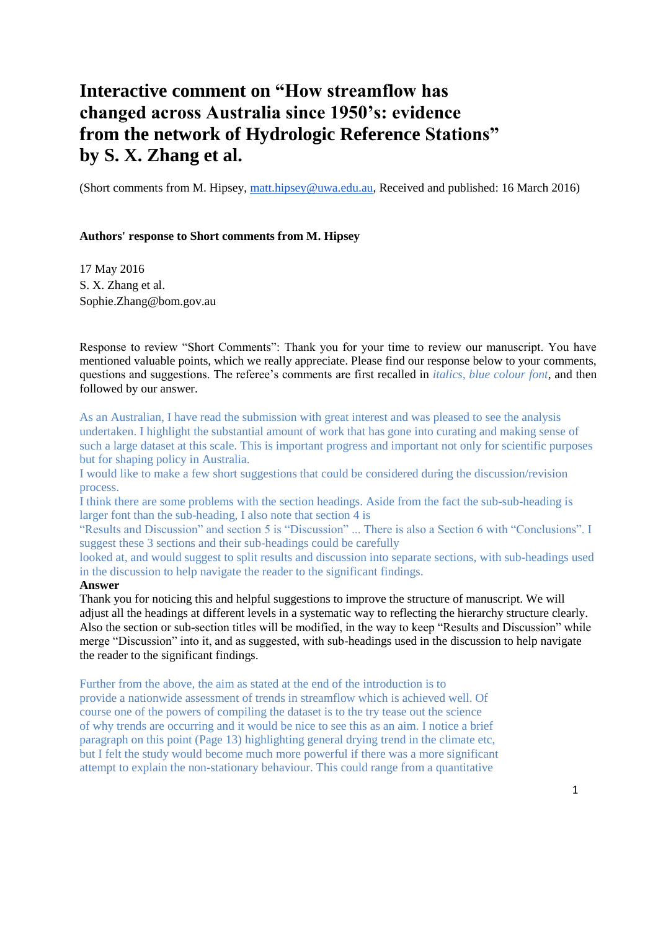# **Interactive comment on "How streamflow has changed across Australia since 1950's: evidence from the network of Hydrologic Reference Stations" by S. X. Zhang et al.**

(Short comments from M. Hipsey, [matt.hipsey@uwa.edu.au,](mailto:matt.hipsey@uwa.edu.au) Received and published: 16 March 2016)

#### **Authors' response to Short comments from M. Hipsey**

17 May 2016 S. X. Zhang et al. Sophie.Zhang@bom.gov.au

Response to review "Short Comments": Thank you for your time to review our manuscript. You have mentioned valuable points, which we really appreciate. Please find our response below to your comments, questions and suggestions. The referee's comments are first recalled in *italics, blue colour font*, and then followed by our answer.

As an Australian, I have read the submission with great interest and was pleased to see the analysis undertaken. I highlight the substantial amount of work that has gone into curating and making sense of such a large dataset at this scale. This is important progress and important not only for scientific purposes but for shaping policy in Australia.

I would like to make a few short suggestions that could be considered during the discussion/revision process.

I think there are some problems with the section headings. Aside from the fact the sub-sub-heading is larger font than the sub-heading, I also note that section 4 is

"Results and Discussion" and section 5 is "Discussion" ... There is also a Section 6 with "Conclusions". I suggest these 3 sections and their sub-headings could be carefully

looked at, and would suggest to split results and discussion into separate sections, with sub-headings used in the discussion to help navigate the reader to the significant findings.

## **Answer**

Thank you for noticing this and helpful suggestions to improve the structure of manuscript. We will adjust all the headings at different levels in a systematic way to reflecting the hierarchy structure clearly. Also the section or sub-section titles will be modified, in the way to keep "Results and Discussion" while merge "Discussion" into it, and as suggested, with sub-headings used in the discussion to help navigate the reader to the significant findings.

Further from the above, the aim as stated at the end of the introduction is to provide a nationwide assessment of trends in streamflow which is achieved well. Of course one of the powers of compiling the dataset is to the try tease out the science of why trends are occurring and it would be nice to see this as an aim. I notice a brief paragraph on this point (Page 13) highlighting general drying trend in the climate etc, but I felt the study would become much more powerful if there was a more significant attempt to explain the non-stationary behaviour. This could range from a quantitative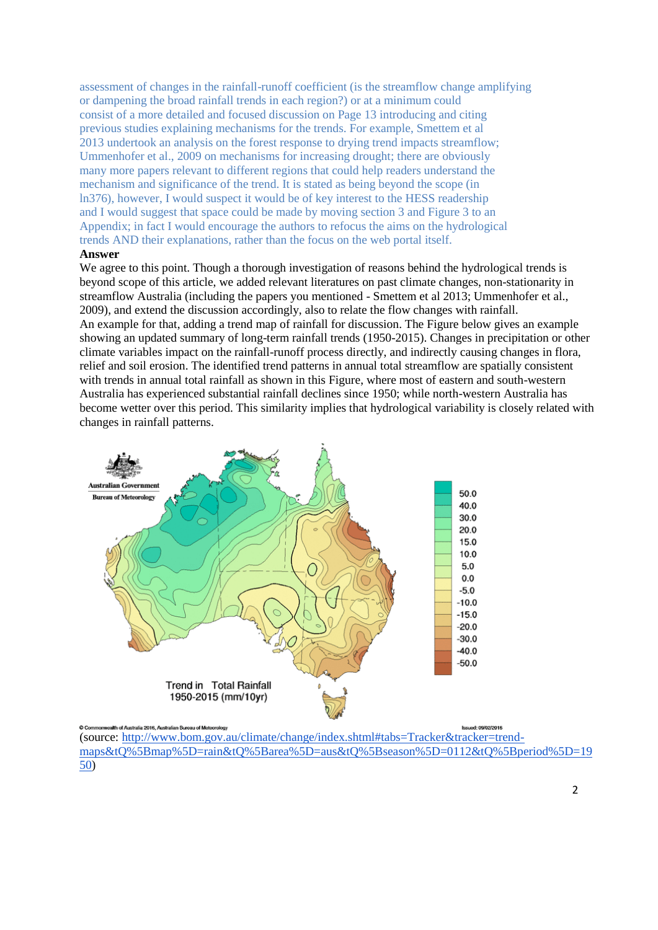assessment of changes in the rainfall-runoff coefficient (is the streamflow change amplifying or dampening the broad rainfall trends in each region?) or at a minimum could consist of a more detailed and focused discussion on Page 13 introducing and citing previous studies explaining mechanisms for the trends. For example, Smettem et al 2013 undertook an analysis on the forest response to drying trend impacts streamflow; Ummenhofer et al., 2009 on mechanisms for increasing drought; there are obviously many more papers relevant to different regions that could help readers understand the mechanism and significance of the trend. It is stated as being beyond the scope (in ln376), however, I would suspect it would be of key interest to the HESS readership and I would suggest that space could be made by moving section 3 and Figure 3 to an Appendix; in fact I would encourage the authors to refocus the aims on the hydrological trends AND their explanations, rather than the focus on the web portal itself.

### **Answer**

We agree to this point. Though a thorough investigation of reasons behind the hydrological trends is beyond scope of this article, we added relevant literatures on past climate changes, non-stationarity in streamflow Australia (including the papers you mentioned - Smettem et al 2013; Ummenhofer et al., 2009), and extend the discussion accordingly, also to relate the flow changes with rainfall. An example for that, adding a trend map of rainfall for discussion. The Figure below gives an example showing an updated summary of long-term rainfall trends (1950-2015). Changes in precipitation or other climate variables impact on the rainfall-runoff process directly, and indirectly causing changes in flora, relief and soil erosion. The identified trend patterns in annual total streamflow are spatially consistent with trends in annual total rainfall as shown in this Figure, where most of eastern and south-western Australia has experienced substantial rainfall declines since 1950; while north-western Australia has become wetter over this period. This similarity implies that hydrological variability is closely related with changes in rainfall patterns.



ued: 09/02/2016 (source: [http://www.bom.gov.au/climate/change/index.shtml#tabs=Tracker&tracker=trend](http://www.bom.gov.au/climate/change/index.shtml#tabs=Tracker&tracker=trend-maps&tQ%5Bmap%5D=rain&tQ%5Barea%5D=aus&tQ%5Bseason%5D=0112&tQ%5Bperiod%5D=1950)[maps&tQ%5Bmap%5D=rain&tQ%5Barea%5D=aus&tQ%5Bseason%5D=0112&tQ%5Bperiod%5D=19](http://www.bom.gov.au/climate/change/index.shtml#tabs=Tracker&tracker=trend-maps&tQ%5Bmap%5D=rain&tQ%5Barea%5D=aus&tQ%5Bseason%5D=0112&tQ%5Bperiod%5D=1950) [50\)](http://www.bom.gov.au/climate/change/index.shtml#tabs=Tracker&tracker=trend-maps&tQ%5Bmap%5D=rain&tQ%5Barea%5D=aus&tQ%5Bseason%5D=0112&tQ%5Bperiod%5D=1950)